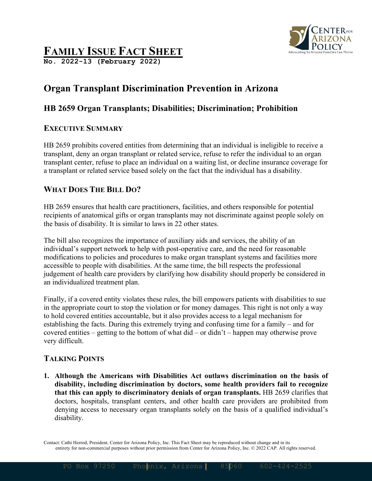

# **FAMILY ISSUE FACT SHEET**

**No. 2022-13 (February 2022)**

## **Organ Transplant Discrimination Prevention in Arizona**

#### **HB 2659 Organ Transplants; Disabilities; Discrimination; Prohibition**

#### **EXECUTIVE SUMMARY**

HB 2659 prohibits covered entities from determining that an individual is ineligible to receive a transplant, deny an organ transplant or related service, refuse to refer the individual to an organ transplant center, refuse to place an individual on a waiting list, or decline insurance coverage for a transplant or related service based solely on the fact that the individual has a disability.

### **WHAT DOES THE BILL DO?**

HB 2659 ensures that health care practitioners, facilities, and others responsible for potential recipients of anatomical gifts or organ transplants may not discriminate against people solely on the basis of disability. It is similar to laws in 22 other states.

The bill also recognizes the importance of auxiliary aids and services, the ability of an individual's support network to help with post-operative care, and the need for reasonable modifications to policies and procedures to make organ transplant systems and facilities more accessible to people with disabilities. At the same time, the bill respects the professional judgement of health care providers by clarifying how disability should properly be considered in an individualized treatment plan.

Finally, if a covered entity violates these rules, the bill empowers patients with disabilities to sue in the appropriate court to stop the violation or for money damages. This right is not only a way to hold covered entities accountable, but it also provides access to a legal mechanism for establishing the facts. During this extremely trying and confusing time for a family – and for covered entities – getting to the bottom of what did – or didn't – happen may otherwise prove very difficult.

### **TALKING POINTS**

**1. Although the Americans with Disabilities Act outlaws discrimination on the basis of disability, including discrimination by doctors, some health providers fail to recognize that this can apply to discriminatory denials of organ transplants.** HB 2659 clarifies that doctors, hospitals, transplant centers, and other health care providers are prohibited from denying access to necessary organ transplants solely on the basis of a qualified individual's disability.

Contact: Cathi Herrod, President, Center for Arizona Policy, Inc. This Fact Sheet may be reproduced without change and in its entirety for non-commercial purposes without prior permission from Center for Arizona Policy, Inc. © 2022 CAP. All rights reserved.